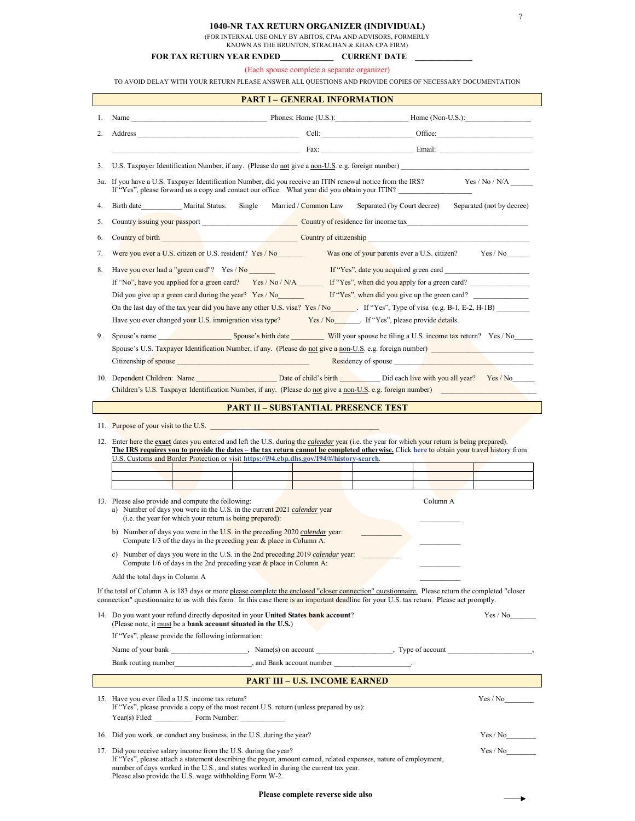7

| 1040-NR TAX RETURN ORGANIZER (INDIVIDUAL) |  |
|-------------------------------------------|--|
|-------------------------------------------|--|

(FOR INTERNAL USE ONLY BY ABITOS, CPAs AND ADVISORS, FORMERLY

KNOWN AS THE BRUNTON, STRACHAN & KHAN CPA  $\widehat{\text{FIRM}}$ 

| <b>FOR TAX RETURN YEAR ENDED</b> | <b>CURRENT DATE</b> |
|----------------------------------|---------------------|
|                                  |                     |

(Each spouse complete a separate organizer)

TO AVOID DELAY WITH YOUR RETURN PLEASE ANSWER ALL QUESTIONS AND PROVIDE COPIES OF NECESSARY DOCUMENTATION

|    | <b>PART I - GENERAL INFORMATION</b>                                                                                                                                                                                                                                                                                                                                                                                                       |  |  |  |  |
|----|-------------------------------------------------------------------------------------------------------------------------------------------------------------------------------------------------------------------------------------------------------------------------------------------------------------------------------------------------------------------------------------------------------------------------------------------|--|--|--|--|
| 1. |                                                                                                                                                                                                                                                                                                                                                                                                                                           |  |  |  |  |
| 2. |                                                                                                                                                                                                                                                                                                                                                                                                                                           |  |  |  |  |
|    |                                                                                                                                                                                                                                                                                                                                                                                                                                           |  |  |  |  |
| 3. | U.S. Taxpayer Identification Number, if any. (Please do not give a non-U.S. e.g. foreign number)                                                                                                                                                                                                                                                                                                                                          |  |  |  |  |
|    | 3a. If you have a U.S. Taxpayer Identification Number, did you receive an ITIN renewal notice from the IRS? Yes / No / N/A<br>If "Yes", please forward us a copy and contact our office. What year did you obtain your ITIN?                                                                                                                                                                                                              |  |  |  |  |
| 4. | Birth date Marital Status:<br>Married / Common Law<br>Separated (by Court decree) Separated (not by decree)<br>Single                                                                                                                                                                                                                                                                                                                     |  |  |  |  |
| 5. |                                                                                                                                                                                                                                                                                                                                                                                                                                           |  |  |  |  |
| 6. | Country of birth Country of birth Country of citizenship                                                                                                                                                                                                                                                                                                                                                                                  |  |  |  |  |
| 7. | Were you ever a U.S. citizen or U.S. resident? Yes / No<br>Was one of your parents ever a U.S. citizen? Yes / No                                                                                                                                                                                                                                                                                                                          |  |  |  |  |
| 8. | Have you ever had a "green card"? Yes / No<br>If "Yes", date you acquired green card<br>If "No", have you applied for a green card? Yes / No / N/A If "Yes", when did you apply for a green card?<br>Did you give up a green card during the year? Yes / No<br>If "Yes", when did you give up the green card?<br>Have you ever changed your U.S. immigration visa type? Yes / No _______. If "Yes", please provide details.               |  |  |  |  |
| 9. | Spouse's name Spouse's birth date Will your spouse be filing a U.S. income tax return? Yes / No<br>Spouse's U.S. Taxpayer Identification Number, if any. (Please do not give a non-U.S. e.g. foreign number)<br>Citizenship of spouse <u>experiences</u> and the contract of spouse <b>and the contract of spouse experience of spouse experience of spouse experience of spouse experience experience experience experience experien</b> |  |  |  |  |
|    | Children's U.S. Taxpayer Identification Number, if any. (Please do not give a non-U.S. e.g. foreign number)                                                                                                                                                                                                                                                                                                                               |  |  |  |  |
|    | <b>PART II – SUBSTANTIAL PRESENCE TEST</b>                                                                                                                                                                                                                                                                                                                                                                                                |  |  |  |  |
|    |                                                                                                                                                                                                                                                                                                                                                                                                                                           |  |  |  |  |
|    | 12. Enter here the exact dates you entered and left the U.S. during the <i>calendar</i> year (i.e. the year for which your return is being prepared).<br>The IRS requires you to provide the dates – the tax return cannot be completed otherwise. Click here to obtain your travel history from<br>U.S. Customs and Border Protection or visit https://i94.cbp.dhs.gov/I94/#/history-search.                                             |  |  |  |  |
|    | 13. Please also provide and compute the following:<br>Column A<br>a) Number of days you were in the U.S. in the current 2021 calendar year<br>(i.e. the year for which your return is being prepared):<br>b) Number of days you were in the U.S. in the preceding 2020 calendar year:                                                                                                                                                     |  |  |  |  |
|    | Compute $1/3$ of the days in the preceding year & place in Column A:<br>c) Number of days you were in the U.S. in the 2nd preceding 2019 calendar year:<br>Compute $1/6$ of days in the 2nd preceding year $\&$ place in Column A:                                                                                                                                                                                                        |  |  |  |  |
|    | Add the total days in Column A                                                                                                                                                                                                                                                                                                                                                                                                            |  |  |  |  |
|    | If the total of Column A is 183 days or more please complete the enclosed "closer connection" questionnaire. Please return the completed "closer<br>connection" questionnaire to us with this form. In this case there is an important deadline for your U.S. tax return. Please act promptly.                                                                                                                                            |  |  |  |  |
|    | 14. Do you want your refund directly deposited in your United States bank account?<br>Yes / No<br>(Please note, it must be a bank account situated in the U.S.)                                                                                                                                                                                                                                                                           |  |  |  |  |
|    | If "Yes", please provide the following information:                                                                                                                                                                                                                                                                                                                                                                                       |  |  |  |  |
|    |                                                                                                                                                                                                                                                                                                                                                                                                                                           |  |  |  |  |
|    |                                                                                                                                                                                                                                                                                                                                                                                                                                           |  |  |  |  |
|    | <b>PART III – U.S. INCOME EARNED</b>                                                                                                                                                                                                                                                                                                                                                                                                      |  |  |  |  |
|    | Yes / No<br>15. Have you ever filed a U.S. income tax return?<br>If "Yes", please provide a copy of the most recent U.S. return (unless prepared by us):<br>Year(s) Filed: Form Number:                                                                                                                                                                                                                                                   |  |  |  |  |
|    | 16. Did you work, or conduct any business, in the U.S. during the year?<br>Yes / No                                                                                                                                                                                                                                                                                                                                                       |  |  |  |  |
|    | 17. Did you receive salary income from the U.S. during the year?<br>Yes / No<br>If "Yes", please attach a statement describing the payor, amount earned, related expenses, nature of employment,<br>number of days worked in the U.S., and states worked in during the current tax year.                                                                                                                                                  |  |  |  |  |

Please also provide the U.S. wage withholding Form W-2.